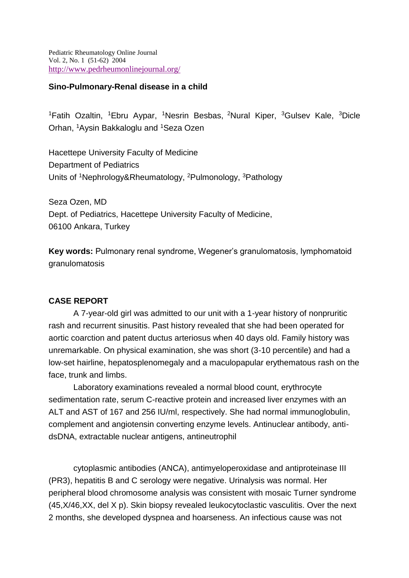Pediatric Rheumatology Online Journal Vol. 2, No. 1 (51-62) 2004 <http://www.pedrheumonlinejournal.org/>

### **Sino-Pulmonary-Renal disease in a child**

<sup>1</sup>Fatih Ozaltin, <sup>1</sup>Ebru Aypar, <sup>1</sup>Nesrin Besbas, <sup>2</sup>Nural Kiper, <sup>3</sup>Gulsev Kale, <sup>3</sup>Dicle Orhan, <sup>1</sup>Aysin Bakkaloglu and <sup>1</sup>Seza Ozen

Hacettepe University Faculty of Medicine Department of Pediatrics Units of <sup>1</sup>Nephrology&Rheumatology, <sup>2</sup>Pulmonology, <sup>3</sup>Pathology

Seza Ozen, MD Dept. of Pediatrics, Hacettepe University Faculty of Medicine, 06100 Ankara, Turkey

**Key words:** Pulmonary renal syndrome, Wegener's granulomatosis, lymphomatoid granulomatosis

# **CASE REPORT**

A 7-year-old girl was admitted to our unit with a 1-year history of nonpruritic rash and recurrent sinusitis. Past history revealed that she had been operated for aortic coarction and patent ductus arteriosus when 40 days old. Family history was unremarkable. On physical examination, she was short (3-10 percentile) and had a low-set hairline, hepatosplenomegaly and a maculopapular erythematous rash on the face, trunk and limbs.

Laboratory examinations revealed a normal blood count, erythrocyte sedimentation rate, serum C-reactive protein and increased liver enzymes with an ALT and AST of 167 and 256 IU/ml, respectively. She had normal immunoglobulin, complement and angiotensin converting enzyme levels. Antinuclear antibody, antidsDNA, extractable nuclear antigens, antineutrophil

cytoplasmic antibodies (ANCA), antimyeloperoxidase and antiproteinase III (PR3), hepatitis B and C serology were negative. Urinalysis was normal. Her peripheral blood chromosome analysis was consistent with mosaic Turner syndrome (45,X/46,XX, del X p). Skin biopsy revealed leukocytoclastic vasculitis. Over the next 2 months, she developed dyspnea and hoarseness. An infectious cause was not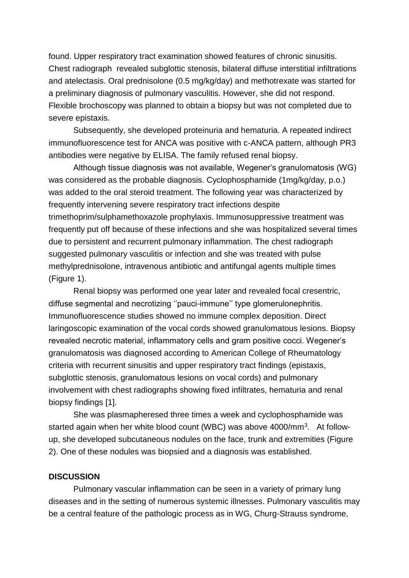found. Upper respiratory tract examination showed features of chronic sinusitis. Chest radiograph revealed subglottic stenosis, bilateral diffuse interstitial infiltrations and atelectasis. Oral prednisolone (0.5 mg/kg/day) and methotrexate was started for a preliminary diagnosis of pulmonary vasculitis. However, she did not respond. Flexible brochoscopy was planned to obtain a biopsy but was not completed due to severe epistaxis.

Subsequently, she developed proteinuria and hematuria. A repeated indirect immunofluorescence test for ANCA was positive with c-ANCA pattern, although PR3 antibodies were negative by ELISA. The family refused renal biopsy.

Although tissue diagnosis was not available, Wegener's granulomatosis (WG) was considered as the probable diagnosis. Cyclophosphamide (1mg/kg/day, p.o.) was added to the oral steroid treatment. The following year was characterized by frequently intervening severe respiratory tract infections despite trimethoprim/sulphamethoxazole prophylaxis. Immunosuppressive treatment was frequently put off because of these infections and she was hospitalized several times due to persistent and recurrent pulmonary inflammation. The chest radiograph suggested pulmonary vasculitis or infection and she was treated with pulse methylprednisolone, intravenous antibiotic and antifungal agents multiple times (Figure 1).

Renal biopsy was performed one year later and revealed focal cresentric, diffuse segmental and necrotizing ''pauci-immune'' type glomerulonephritis. Immunofluorescence studies showed no immune complex deposition. Direct laringoscopic examination of the vocal cords showed granulomatous lesions. Biopsy revealed necrotic material, inflammatory cells and gram positive cocci. Wegener's granulomatosis was diagnosed according to American College of Rheumatology criteria with recurrent sinusitis and upper respiratory tract findings (epistaxis, subglottic stenosis, granulomatous lesions on vocal cords) and pulmonary involvement with chest radiographs showing fixed infiltrates, hematuria and renal biopsy findings [1].

She was plasmapheresed three times a week and cyclophosphamide was started again when her white blood count (WBC) was above 4000/mm<sup>3</sup>. At followup, she developed subcutaneous nodules on the face, trunk and extremities (Figure 2). One of these nodules was biopsied and a diagnosis was established.

### **DISCUSSION**

Pulmonary vascular inflammation can be seen in a variety of primary lung diseases and in the setting of numerous systemic illnesses. Pulmonary vasculitis may be a central feature of the pathologic process as in WG, Churg-Strauss syndrome,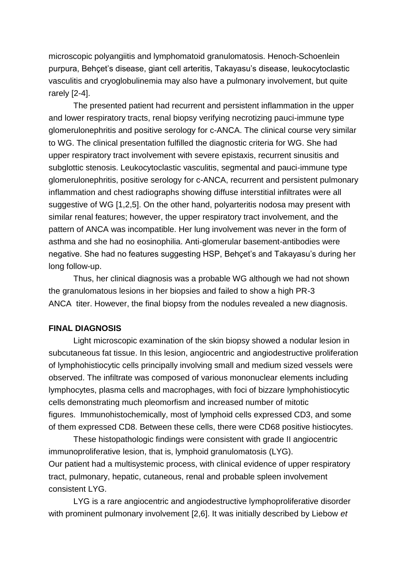microscopic polyangiitis and lymphomatoid granulomatosis. Henoch-Schoenlein purpura, Behçet's disease, giant cell arteritis, Takayasu's disease, leukocytoclastic vasculitis and cryoglobulinemia may also have a pulmonary involvement, but quite rarely [2-4].

The presented patient had recurrent and persistent inflammation in the upper and lower respiratory tracts, renal biopsy verifying necrotizing pauci-immune type glomerulonephritis and positive serology for c-ANCA. The clinical course very similar to WG. The clinical presentation fulfilled the diagnostic criteria for WG. She had upper respiratory tract involvement with severe epistaxis, recurrent sinusitis and subglottic stenosis. Leukocytoclastic vasculitis, segmental and pauci-immune type glomerulonephritis, positive serology for c-ANCA, recurrent and persistent pulmonary inflammation and chest radiographs showing diffuse interstitial infiltrates were all suggestive of WG [1,2,5]. On the other hand, polyarteritis nodosa may present with similar renal features; however, the upper respiratory tract involvement, and the pattern of ANCA was incompatible. Her lung involvement was never in the form of asthma and she had no eosinophilia. Anti-glomerular basement-antibodies were negative. She had no features suggesting HSP, Behçet's and Takayasu's during her long follow-up.

Thus, her clinical diagnosis was a probable WG although we had not shown the granulomatous lesions in her biopsies and failed to show a high PR-3 ANCA titer. However, the final biopsy from the nodules revealed a new diagnosis.

# **FINAL DIAGNOSIS**

Light microscopic examination of the skin biopsy showed a nodular lesion in subcutaneous fat tissue. In this lesion, angiocentric and angiodestructive proliferation of lymphohistiocytic cells principally involving small and medium sized vessels were observed. The infiltrate was composed of various mononuclear elements including lymphocytes, plasma cells and macrophages, with foci of bizzare lymphohistiocytic cells demonstrating much pleomorfism and increased number of mitotic figures. Immunohistochemically, most of lymphoid cells expressed CD3, and some of them expressed CD8. Between these cells, there were CD68 positive histiocytes.

These histopathologic findings were consistent with grade II angiocentric immunoproliferative lesion, that is, lymphoid granulomatosis (LYG). Our patient had a multisystemic process, with clinical evidence of upper respiratory tract, pulmonary, hepatic, cutaneous, renal and probable spleen involvement consistent LYG.

LYG is a rare angiocentric and angiodestructive lymphoproliferative disorder with prominent pulmonary involvement [2,6]. It was initially described by Liebow *et*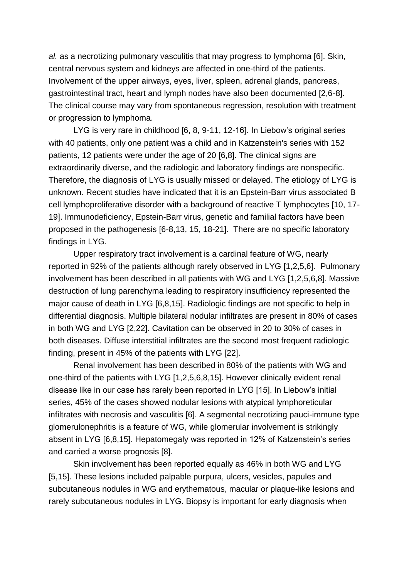*al.* as a necrotizing pulmonary vasculitis that may progress to lymphoma [6]. Skin, central nervous system and kidneys are affected in one-third of the patients. Involvement of the upper airways, eyes, liver, spleen, adrenal glands, pancreas, gastrointestinal tract, heart and lymph nodes have also been documented [2,6-8]. The clinical course may vary from spontaneous regression, resolution with treatment or progression to lymphoma.

LYG is very rare in childhood [6, 8, 9-11, 12-16]. In Liebow's original series with 40 patients, only one patient was a child and in Katzenstein's series with 152 patients, 12 patients were under the age of 20 [6,8]. The clinical signs are extraordinarily diverse, and the radiologic and laboratory findings are nonspecific. Therefore, the diagnosis of LYG is usually missed or delayed. The etiology of LYG is unknown. Recent studies have indicated that it is an Epstein-Barr virus associated B cell lymphoproliferative disorder with a background of reactive T lymphocytes [10, 17- 19]. Immunodeficiency, Epstein-Barr virus, genetic and familial factors have been proposed in the pathogenesis [6-8,13, 15, 18-21]. There are no specific laboratory findings in LYG.

Upper respiratory tract involvement is a cardinal feature of WG, nearly reported in 92% of the patients although rarely observed in LYG [1,2,5,6]. Pulmonary involvement has been described in all patients with WG and LYG [1,2,5,6,8]. Massive destruction of lung parenchyma leading to respiratory insufficiency represented the major cause of death in LYG [6,8,15]. Radiologic findings are not specific to help in differential diagnosis. Multiple bilateral nodular infiltrates are present in 80% of cases in both WG and LYG [2,22]. Cavitation can be observed in 20 to 30% of cases in both diseases. Diffuse interstitial infiltrates are the second most frequent radiologic finding, present in 45% of the patients with LYG [22].

Renal involvement has been described in 80% of the patients with WG and one-third of the patients with LYG [1,2,5,6,8,15]. However clinically evident renal disease like in our case has rarely been reported in LYG [15]. In Liebow's initial series, 45% of the cases showed nodular lesions with atypical lymphoreticular infiltrates with necrosis and vasculitis [6]. A segmental necrotizing pauci-immune type glomerulonephritis is a feature of WG, while glomerular involvement is strikingly absent in LYG [6,8,15]. Hepatomegaly was reported in 12% of Katzenstein's series and carried a worse prognosis [8].

Skin involvement has been reported equally as 46% in both WG and LYG [5,15]. These lesions included palpable purpura, ulcers, vesicles, papules and subcutaneous nodules in WG and erythematous, macular or plaque-like lesions and rarely subcutaneous nodules in LYG. Biopsy is important for early diagnosis when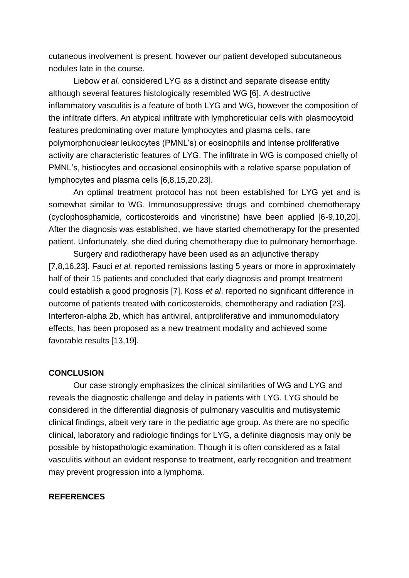cutaneous involvement is present, however our patient developed subcutaneous nodules late in the course.

Liebow *et al.* considered LYG as a distinct and separate disease entity although several features histologically resembled WG [6]. A destructive inflammatory vasculitis is a feature of both LYG and WG, however the composition of the infiltrate differs. An atypical infiltrate with lymphoreticular cells with plasmocytoid features predominating over mature lymphocytes and plasma cells, rare polymorphonuclear leukocytes (PMNL's) or eosinophils and intense proliferative activity are characteristic features of LYG. The infiltrate in WG is composed chiefly of PMNL's, histiocytes and occasional eosinophils with a relative sparse population of lymphocytes and plasma cells [6,8,15,20,23].

An optimal treatment protocol has not been established for LYG yet and is somewhat similar to WG. Immunosuppressive drugs and combined chemotherapy (cyclophosphamide, corticosteroids and vincristine) have been applied [6-9,10,20]. After the diagnosis was established, we have started chemotherapy for the presented patient. Unfortunately, she died during chemotherapy due to pulmonary hemorrhage.

Surgery and radiotherapy have been used as an adjunctive therapy [7,8,16,23]. Fauci *et al.* reported remissions lasting 5 years or more in approximately half of their 15 patients and concluded that early diagnosis and prompt treatment could establish a good prognosis [7]. Koss *et al*. reported no significant difference in outcome of patients treated with corticosteroids, chemotherapy and radiation [23]. Interferon-alpha 2b, which has antiviral, antiproliferative and immunomodulatory effects, has been proposed as a new treatment modality and achieved some favorable results [13,19].

# **CONCLUSION**

Our case strongly emphasizes the clinical similarities of WG and LYG and reveals the diagnostic challenge and delay in patients with LYG. LYG should be considered in the differential diagnosis of pulmonary vasculitis and mutisystemic clinical findings, albeit very rare in the pediatric age group. As there are no specific clinical, laboratory and radiologic findings for LYG, a definite diagnosis may only be possible by histopathologic examination. Though it is often considered as a fatal vasculitis without an evident response to treatment, early recognition and treatment may prevent progression into a lymphoma.

# **REFERENCES**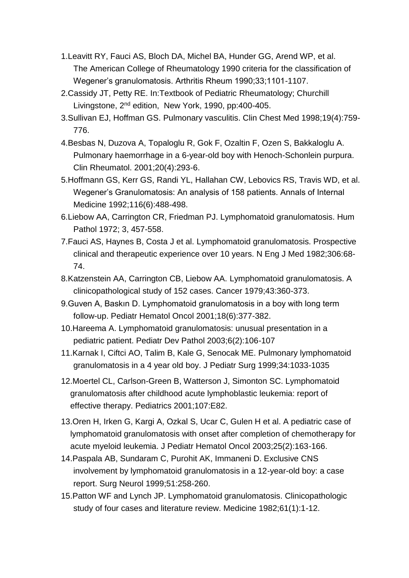- 1.Leavitt RY, Fauci AS, Bloch DA, Michel BA, Hunder GG, Arend WP, et al. The American College of Rheumatology 1990 criteria for the classification of Wegener's granulomatosis. Arthritis Rheum 1990;33;1101-1107.
- 2.Cassidy JT, Petty RE. In:Textbook of Pediatric Rheumatology; Churchill Livingstone, 2<sup>nd</sup> edition, New York, 1990, pp:400-405.
- 3.Sullivan EJ, Hoffman GS. Pulmonary vasculitis. Clin Chest Med 1998;19(4):759- 776.
- 4.Besbas N, Duzova A, Topaloglu R, Gok F, Ozaltin F, Ozen S, Bakkaloglu A. Pulmonary haemorrhage in a 6-year-old boy with Henoch-Schonlein purpura. Clin Rheumatol. 2001;20(4):293-6.
- 5.Hoffmann GS, Kerr GS, Randi YL, Hallahan CW, Lebovics RS, Travis WD, et al. Wegener's Granulomatosis: An analysis of 158 patients. Annals of Internal Medicine 1992;116(6):488-498.
- 6.Liebow AA, Carrington CR, Friedman PJ. Lymphomatoid granulomatosis. Hum Pathol 1972; 3, 457-558.
- 7.Fauci AS, Haynes B, Costa J et al. Lymphomatoid granulomatosis. Prospective clinical and therapeutic experience over 10 years. N Eng J Med 1982;306:68- 74.
- 8.Katzenstein AA, Carrington CB, Liebow AA. Lymphomatoid granulomatosis. A clinicopathological study of 152 cases. Cancer 1979;43:360-373.
- 9.Guven A, Baskın D. Lymphomatoid granulomatosis in a boy with long term follow-up. Pediatr Hematol Oncol 2001;18(6):377-382.
- 10.Hareema A. Lymphomatoid granulomatosis: unusual presentation in a pediatric patient. Pediatr Dev Pathol 2003;6(2):106-107
- 11.Karnak I, Ciftci AO, Talim B, Kale G, Senocak ME. Pulmonary lymphomatoid granulomatosis in a 4 year old boy. J Pediatr Surg 1999;34:1033-1035
- 12.Moertel CL, Carlson-Green B, Watterson J, Simonton SC. Lymphomatoid granulomatosis after childhood acute lymphoblastic leukemia: report of effective therapy. Pediatrics 2001;107:E82.
- 13.Oren H, Irken G, Kargi A, Ozkal S, Ucar C, Gulen H et al. A pediatric case of lymphomatoid granulomatosis with onset after completion of chemotherapy for acute myeloid leukemia. J Pediatr Hematol Oncol 2003;25(2):163-166.
- 14.Paspala AB, Sundaram C, Purohit AK, Immaneni D. Exclusive CNS involvement by lymphomatoid granulomatosis in a 12-year-old boy: a case report. Surg Neurol 1999;51:258-260.
- 15.Patton WF and Lynch JP. Lymphomatoid granulomatosis. Clinicopathologic study of four cases and literature review. Medicine 1982;61(1):1-12.